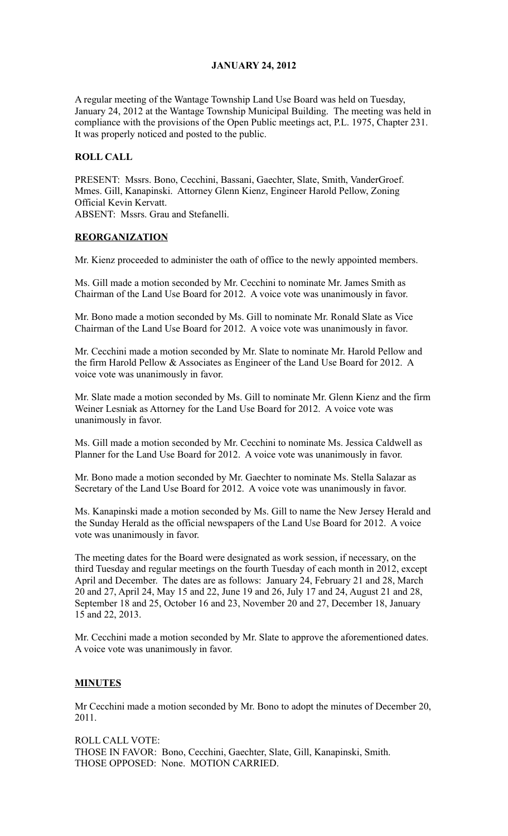## **JANUARY 24, 2012**

A regular meeting of the Wantage Township Land Use Board was held on Tuesday, January 24, 2012 at the Wantage Township Municipal Building. The meeting was held in compliance with the provisions of the Open Public meetings act, P.L. 1975, Chapter 231. It was properly noticed and posted to the public.

## **ROLL CALL**

PRESENT: Mssrs. Bono, Cecchini, Bassani, Gaechter, Slate, Smith, VanderGroef. Mmes. Gill, Kanapinski. Attorney Glenn Kienz, Engineer Harold Pellow, Zoning Official Kevin Kervatt. ABSENT: Mssrs. Grau and Stefanelli.

#### **REORGANIZATION**

Mr. Kienz proceeded to administer the oath of office to the newly appointed members.

Ms. Gill made a motion seconded by Mr. Cecchini to nominate Mr. James Smith as Chairman of the Land Use Board for 2012. A voice vote was unanimously in favor.

Mr. Bono made a motion seconded by Ms. Gill to nominate Mr. Ronald Slate as Vice Chairman of the Land Use Board for 2012. A voice vote was unanimously in favor.

Mr. Cecchini made a motion seconded by Mr. Slate to nominate Mr. Harold Pellow and the firm Harold Pellow & Associates as Engineer of the Land Use Board for 2012. A voice vote was unanimously in favor.

Mr. Slate made a motion seconded by Ms. Gill to nominate Mr. Glenn Kienz and the firm Weiner Lesniak as Attorney for the Land Use Board for 2012. A voice vote was unanimously in favor.

Ms. Gill made a motion seconded by Mr. Cecchini to nominate Ms. Jessica Caldwell as Planner for the Land Use Board for 2012. A voice vote was unanimously in favor.

Mr. Bono made a motion seconded by Mr. Gaechter to nominate Ms. Stella Salazar as Secretary of the Land Use Board for 2012. A voice vote was unanimously in favor.

Ms. Kanapinski made a motion seconded by Ms. Gill to name the New Jersey Herald and the Sunday Herald as the official newspapers of the Land Use Board for 2012. A voice vote was unanimously in favor.

The meeting dates for the Board were designated as work session, if necessary, on the third Tuesday and regular meetings on the fourth Tuesday of each month in 2012, except April and December. The dates are as follows: January 24, February 21 and 28, March 20 and 27, April 24, May 15 and 22, June 19 and 26, July 17 and 24, August 21 and 28, September 18 and 25, October 16 and 23, November 20 and 27, December 18, January 15 and 22, 2013.

Mr. Cecchini made a motion seconded by Mr. Slate to approve the aforementioned dates. A voice vote was unanimously in favor.

#### **MINUTES**

Mr Cecchini made a motion seconded by Mr. Bono to adopt the minutes of December 20, 2011.

ROLL CALL VOTE: THOSE IN FAVOR: Bono, Cecchini, Gaechter, Slate, Gill, Kanapinski, Smith. THOSE OPPOSED: None. MOTION CARRIED.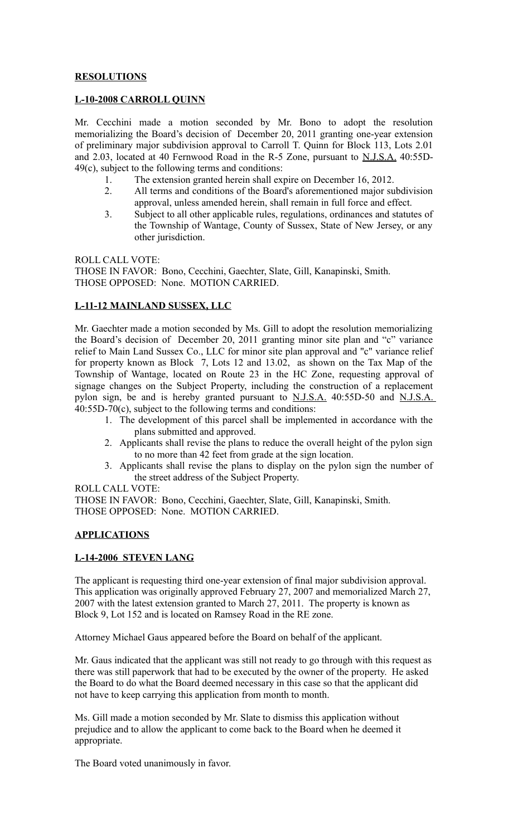## **RESOLUTIONS**

#### **L-10-2008 CARROLL QUINN**

Mr. Cecchini made a motion seconded by Mr. Bono to adopt the resolution memorializing the Board's decision of December 20, 2011 granting one-year extension of preliminary major subdivision approval to Carroll T. Quinn for Block 113, Lots 2.01 and 2.03, located at 40 Fernwood Road in the R-5 Zone, pursuant to N.J.S.A. 40:55D-49(c), subject to the following terms and conditions:

- 1. The extension granted herein shall expire on December 16, 2012.
- 2. All terms and conditions of the Board's aforementioned major subdivision approval, unless amended herein, shall remain in full force and effect.
- 3. Subject to all other applicable rules, regulations, ordinances and statutes of the Township of Wantage, County of Sussex, State of New Jersey, or any other jurisdiction.

ROLL CALL VOTE: THOSE IN FAVOR: Bono, Cecchini, Gaechter, Slate, Gill, Kanapinski, Smith. THOSE OPPOSED: None. MOTION CARRIED.

## **L-11-12 MAINLAND SUSSEX, LLC**

Mr. Gaechter made a motion seconded by Ms. Gill to adopt the resolution memorializing the Board's decision of December 20, 2011 granting minor site plan and "c" variance relief to Main Land Sussex Co., LLC for minor site plan approval and "c" variance relief for property known as Block 7, Lots 12 and 13.02, as shown on the Tax Map of the Township of Wantage, located on Route 23 in the HC Zone, requesting approval of signage changes on the Subject Property, including the construction of a replacement pylon sign, be and is hereby granted pursuant to N.J.S.A. 40:55D-50 and N.J.S.A. 40:55D-70(c), subject to the following terms and conditions:

- 1. The development of this parcel shall be implemented in accordance with the plans submitted and approved.
- 2. Applicants shall revise the plans to reduce the overall height of the pylon sign to no more than 42 feet from grade at the sign location.
- 3. Applicants shall revise the plans to display on the pylon sign the number of the street address of the Subject Property.

ROLL CALL VOTE:

THOSE IN FAVOR: Bono, Cecchini, Gaechter, Slate, Gill, Kanapinski, Smith. THOSE OPPOSED: None. MOTION CARRIED.

#### **APPLICATIONS**

### **L-14-2006 STEVEN LANG**

The applicant is requesting third one-year extension of final major subdivision approval. This application was originally approved February 27, 2007 and memorialized March 27, 2007 with the latest extension granted to March 27, 2011. The property is known as Block 9, Lot 152 and is located on Ramsey Road in the RE zone.

Attorney Michael Gaus appeared before the Board on behalf of the applicant.

Mr. Gaus indicated that the applicant was still not ready to go through with this request as there was still paperwork that had to be executed by the owner of the property. He asked the Board to do what the Board deemed necessary in this case so that the applicant did not have to keep carrying this application from month to month.

Ms. Gill made a motion seconded by Mr. Slate to dismiss this application without prejudice and to allow the applicant to come back to the Board when he deemed it appropriate.

The Board voted unanimously in favor.